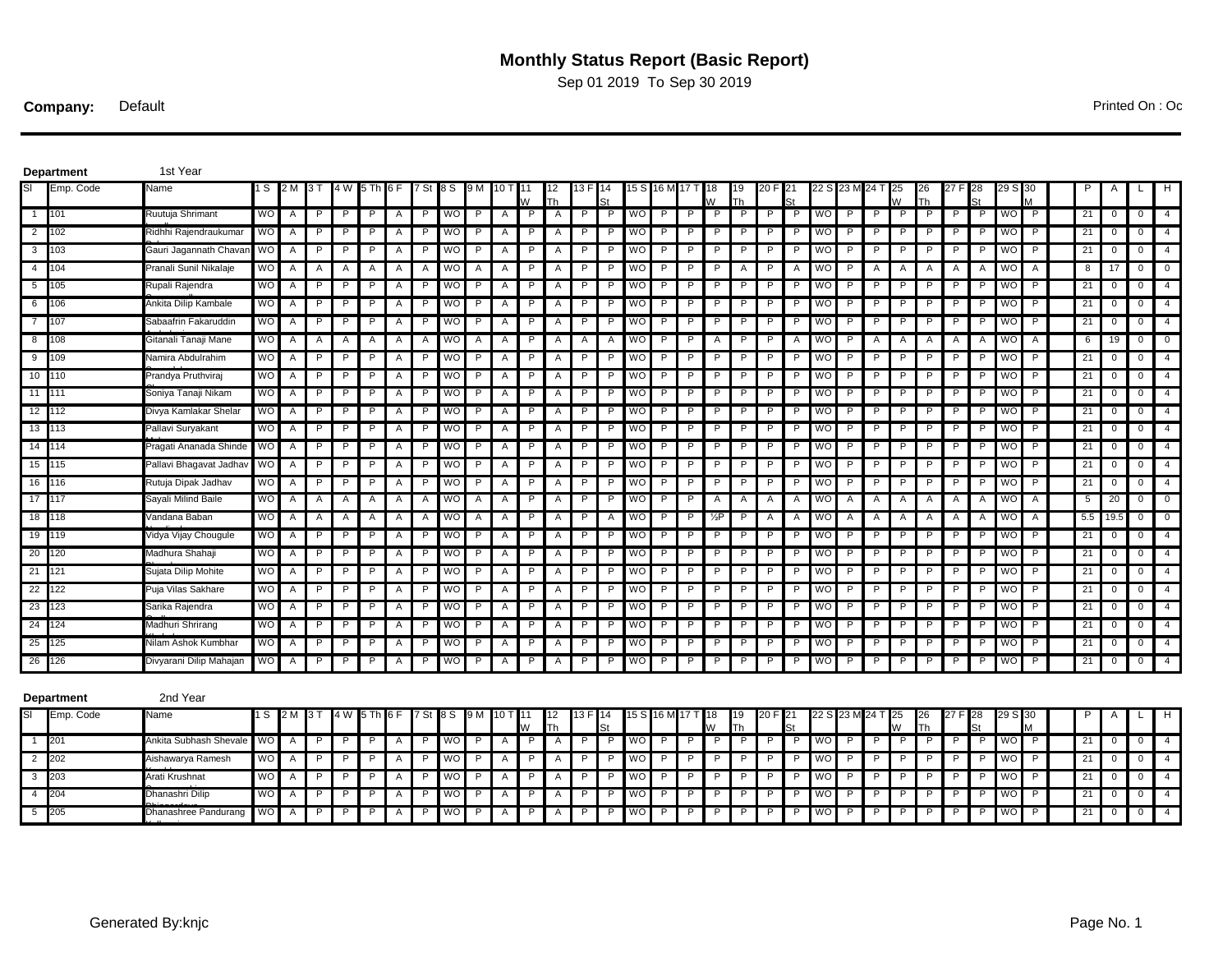## **Monthly Status Report (Basic Report)**

Sep 01 2019 To Sep 30 2019

**Company:** Default Printed On : Oct 24 2019 13:30 2019 13:30 2019 13:30 2019 13:30 2019 13:30 2019 13:30 2019 13:30 2019 13:30 2019 13:30 2019 13:30 2019 13:30 2019 13:30 2019 13:30 2019 13:30 2019 13:30 2019 13:30 2019 13

| SI<br>Emp. Code<br>Name<br>1 S<br>4 W<br>7 St 18 S<br>9 M<br>12<br>13 F<br>19<br>24 T<br>H<br>2 M<br>3 T<br>10 T<br>15 S<br>16 M<br>18<br>20 F<br>25<br>26<br>29.<br>I11<br>W<br>W<br>Th<br>$\overline{M}$<br>Th<br>Th<br>1 101<br><b>WO</b><br>WO<br>$\overline{P}$<br>21<br>Ruutuja Shrimant<br>$\overline{A}$<br>P<br>P<br>P<br>$\mathsf{A}$<br>P<br>$\mathsf{P}$<br>$\mathsf{A}$<br>P<br>P<br>P<br><b>WO</b><br>P<br>P<br>P<br>P<br>P<br>P<br>WO<br>$\mathsf{P}$<br>P<br>P<br>P<br>P<br>P<br>WO<br>$\mathbf 0$<br>$\mathbf 0$<br>$\overline{4}$<br>A<br>$\overline{2}$<br>21<br>$\overline{4}$<br>102<br>Ridhhi Rajendraukumai<br>WO<br>P<br>WO<br>WO<br>P<br>WO<br>P<br>WO<br>P<br>0<br>A<br>Р<br>A<br>P<br>P<br>A<br>Р<br>P<br>P<br>Р<br>P<br>- P<br>P<br>P<br>0<br>A<br>P<br>Р<br>P<br>$\overline{3}$<br>21<br>103<br>Gauri Jagannath Chava<br><b>WO</b><br>P<br>WO<br>P<br>P<br>WO<br>P<br>P<br>WO<br>P<br>P<br>P<br>WO<br>$\mathsf{P}$<br>$\mathbf 0$<br>$\overline{4}$<br>A<br>P<br>P<br>A<br>P<br>A<br>P<br>P<br>P<br>P<br>P<br>P<br><b>P</b><br>P<br>P<br>$\mathbf 0$<br>A<br>$\overline{4}$<br>Pranali Sunil Nikalaje<br>104<br><b>WO</b><br><b>WO</b><br>P<br>P<br>P<br><b>WO</b><br>P<br>P<br>P<br>P<br><b>WO</b><br>P<br><b>WO</b><br>$\overline{A}$<br>8<br>17<br>$\mathbf 0$<br>$\mathbf 0$<br>A<br>$\mathsf{A}$<br>$\mathsf{A}$<br>A<br>A<br>$\mathsf{A}$<br>A<br>Α<br>$\mathsf{A}$<br>$\mathsf{A}$<br>A<br>Α<br>Α<br>Α<br>Α<br>A<br>5<br>105<br>Rupali Rajendra<br><b>WO</b><br>P<br>P<br>A<br>P<br><b>WO</b><br>P<br>P<br>P<br>P<br><b>WO</b><br>P<br>P<br>P<br>P<br>P<br>WO<br>P<br>P<br>P<br>P<br>P<br>P<br><b>WO</b><br>P<br>21<br>$\mathbf 0$<br>4<br>A<br>A<br>$\mathbf{0}$<br>A<br>6<br>Ankita Dilip Kambale<br><b>WO</b><br>P<br>P<br>P<br>P<br><b>WO</b><br>P<br>P<br>P<br>P<br><b>WO</b><br>P<br>P<br>P<br>P<br>P<br>P<br><b>WO</b><br>P<br>P<br>P<br>P<br>P<br>P<br><b>WO</b><br>P<br>21<br>$\mathbf 0$<br>$\overline{4}$<br>106<br>$\overline{A}$<br>A<br>A<br>$\mathbf 0$<br>A<br>$\overline{7}$<br>WO<br>21<br>Sabaafrin Fakaruddin<br><b>WO</b><br>P<br>P<br>P<br>WO<br>P<br>P<br><b>WO</b><br>P<br>P<br>P<br><b>WO</b><br>P<br>P<br>P<br>P<br>P<br>P<br>$\mathbf 0$<br>107<br>P<br>A<br>A<br>P<br>P<br>P<br>P<br>P<br>P<br>$\overline{4}$<br>A<br>A<br>0<br>8 <sup>1</sup><br>108<br>P<br><b>WO</b><br>Gitanali Tanaji Mane<br><b>WO</b><br><b>WO</b><br><b>WO</b><br>P<br>P<br><b>WO</b><br>P<br>19<br>$\mathbf 0$<br>$\mathbf 0$<br>A<br>A<br>A<br>A<br>A<br>A<br>A<br>P<br>A<br>P<br>A<br>A<br>A<br>A<br>6<br>A<br>A<br>A<br>A<br>A<br>A<br>A<br>9<br>109<br>Namira Abdulrahim<br><b>WO</b><br>P<br><b>WO</b><br><b>WO</b><br>P<br><b>WO</b><br>P<br>P<br><b>WO</b><br>P<br>21<br>$\mathbf 0$<br>$\overline{4}$<br>A<br>A<br>P<br>P<br>A<br>P<br>P<br>P<br>P<br>P<br>P<br>P<br>P<br>P<br>0<br>P<br>A<br>P<br>10 110<br>WO<br>P<br><b>WO</b><br><b>WO</b><br>P<br><b>WO</b><br>P<br><b>WO</b><br>P<br>21<br>$\overline{4}$<br>Prandya Pruthviraj<br>A<br>P<br>P<br>A<br>P<br>P<br>A<br>P<br>P<br>P<br>P<br>P<br>P<br>P<br>P<br>P<br>P<br>P<br>P<br>P<br>0<br>$\mathbf 0$<br>Α<br>11 111<br>Soniya Tanaji Nikam<br><b>WO</b><br>P<br>P<br>P<br><b>WO</b><br>P<br>A<br>P<br>P<br>P<br><b>WO</b><br>P<br>P<br>P<br>P<br>P<br><b>WO</b><br>P<br>P<br>P<br>P<br>P<br>P<br><b>WO</b><br>P<br>21<br>$\mathbf 0$<br>$\overline{4}$<br>A<br>P<br>A<br>Α<br>P<br>0<br>12 112<br>Divya Kamlakar Shelar<br><b>WO</b><br>P<br>P<br><b>WO</b><br><b>WO</b><br>P<br><b>WO</b><br>P<br>P<br><b>WO</b><br>P<br>21<br>P<br>P<br>P<br>A<br>P<br>P<br>P<br>P<br>P<br>P<br>P<br>P<br>P<br>P<br>P<br>P<br>0<br>0<br>$\overline{4}$<br>A<br>A<br>A<br>21<br>13 113<br>Pallavi Suryakant<br><b>WO</b><br>P<br><b>WO</b><br><b>WO</b><br>P<br><b>WO</b><br>P<br><b>WO</b><br>P<br>$\mathbf 0$<br>$\overline{4}$<br>A<br>P<br>P<br>A<br>P<br>P<br>A<br>P<br>P.<br>P<br>P<br>P<br>P<br>P<br>P<br>P<br>P<br>P<br>P<br>P<br>0<br>A<br><b>WO</b><br>14 114<br>Pragati Ananada Shinde<br>P.<br>P<br>P<br>A<br>P<br><b>WO</b><br>P<br>A<br>P<br>P.<br>P<br><b>WO</b><br>P<br>P<br>P<br>P<br>P<br><b>WO</b><br>P<br>P<br>P<br>P<br>P.<br>P<br><b>WO</b><br>P<br>21<br>$\mathbf 0$<br>$\overline{4}$<br>A<br>A<br>P<br>$\mathbf{0}$<br>15 115<br>Pallavi Bhagavat Jadha<br><b>WO</b><br>P<br><b>WO</b><br><b>WO</b><br>P<br><b>WO</b><br>P<br><b>WO</b><br>P<br>21<br>0<br>$\overline{4}$<br>A<br>A<br>P<br>P<br>A<br>P<br>Α<br>P<br>P<br>P<br>P<br>P<br>-P<br>P<br>P<br>P<br>0<br>16 116<br>Rutuja Dipak Jadhav<br><b>WO</b><br>P<br>P<br>P<br><b>WO</b><br>P<br>P.<br>P<br><b>WO</b><br>P<br>P<br>P<br><b>WO</b><br>P<br>P<br>P<br>P.<br>P<br><b>WO</b><br>P<br>21<br>0<br>$\overline{4}$<br>A<br>P<br>A<br>A<br>P<br>A<br>P<br>P<br>P<br>P<br>$\mathbf{0}$<br>17 117<br>Sayali Milind Baile<br><b>WO</b><br>A<br><b>WO</b><br>A<br>A<br>P.<br>P<br>P<br><b>WO</b><br>P<br>P<br><b>WO</b><br>$\mathsf{A}$<br><b>WO</b><br>A<br>20<br>$\mathbf 0$<br>$\mathbf 0$<br>A<br>A<br>A<br>A<br>A<br>A<br>A<br>A<br>A<br>A<br>A<br>A<br>A<br>A<br>A<br>5<br>5.5<br>18 118<br>Vandana Baban<br>WO<br>l wo<br>A<br><b>WO</b><br>P<br>$\blacksquare$<br>$\mathsf{A}$<br><b>WO</b><br>A<br>19.5<br>0<br>$\mathbf{0}$<br>A<br>A<br>Α<br>A<br>A<br>A<br>A<br>P<br>Α<br>P<br>A<br>P<br>$\frac{1}{2}P$<br>A<br>A<br>A<br>Α<br>A<br>A<br>A<br><b>WO</b><br>19 119<br>Vidya Vijay Chougule<br>P<br>P<br>P<br><b>WO</b><br>P<br>P.<br>P<br><b>WO</b><br>P<br>P<br>P<br>P<br><b>WO</b><br>P<br>P<br>P.<br>P<br><b>WO</b><br>P<br>21<br>0<br>$\overline{4}$<br>A<br>P<br>A<br>A<br>P<br>A<br>P<br>P<br>P<br>P<br>$\mathbf{0}$<br>20 <sup>1</sup><br>Madhura Shahaji<br><b>WO</b><br>P<br>P<br><b>WO</b><br><b>WO</b><br>P<br>P<br>I WO<br>P<br>P<br><b>WO</b><br>$\mathsf{P}$<br>21<br>120<br>P<br>P<br>P<br>A<br>P<br>P<br>P<br>P<br>P<br>P<br>P<br>P<br>P<br>P<br>P<br>0<br>0<br>$\overline{4}$<br>A<br>A<br>A<br>21<br>121<br>Sujata Dilip Mohite<br><b>WO</b><br>P<br>P<br>P<br><b>WO</b><br>P<br>P<br>P<br><b>WO</b><br>P<br>P<br>P<br><b>WO</b><br>P<br>P<br>P<br>P<br><b>WO</b><br>$\mathsf{P}$<br>21<br>0<br>$\overline{4}$<br>A<br>P<br>P<br>P<br>P<br>0<br>A<br>Α<br>Α<br>22<br>122<br>Puja Vilas Sakhare<br><b>WO</b><br>P<br><b>WO</b><br>wo<br>P<br>P<br><b>WO</b><br>$\mathsf{P}$<br>21<br>0<br>$\overline{4}$<br>P<br>P<br>A<br>P<br>P<br><b>WO</b><br>- P<br>0<br>A<br>A<br>A<br>23<br>123<br><b>WO</b><br>P<br>P<br><b>WO</b><br>WO<br>P<br><b>WO</b><br>P<br>P<br>P<br>P<br><b>WO</b><br>$\mathsf{P}$<br>21<br>Sarika Rajendra<br>A<br>P<br>P<br>$\mathsf{A}$<br>P<br>P<br>P<br>P<br>P<br>P<br>P<br>0<br>0<br>$\overline{4}$<br>Α<br>Α<br>24<br>124<br>WO<br>P<br>WO<br>P<br>21<br>Madhuri Shrirang<br>WO<br>P<br>WO<br>P<br>WO<br>P<br>4<br>P<br>A<br>P<br>P<br>P<br>P<br>P<br>0<br>0<br>A<br>A<br>A<br>25<br><b>WO</b><br>125<br>Nilam Ashok Kumbhar<br>P<br>WO<br>P<br>WO<br>P<br>21<br>4<br>WO<br>wo<br>0<br>A<br>A<br>A<br>$\mathbf{0}$<br>A<br>26<br>126<br><b>WO</b><br>$\overline{P}$<br>P<br>21<br>Divyarani Dilip Mahajan<br>WO<br>P<br>WO<br>P<br>WO<br>WO<br>P<br>$\mathbf 0$<br>$\overline{4}$<br>P<br>A<br>P<br>P<br>P<br>P<br>0<br>A<br>Α<br>Α<br>2nd Year<br><b>Department</b><br>SI<br>Emp. Code<br>7 St 8 S<br>Name<br>1 S<br>2 M<br>3 T<br>4 W<br>5 Th<br>6 F<br>9 M<br>10 T <b>1</b> 11<br>12<br>13 F<br>15 S 16 M 17 T<br>18<br>19<br>20 F<br>22 S<br>23 M 24 T<br>25<br>26<br>28<br>29 S<br>30<br>H<br>Th<br>$\overline{1}$<br><b>WO</b><br>P<br>$\mathsf{P}$<br>201<br>Ankita Subhash Shevale<br>WO<br><b>P</b><br>WO<br>P<br>WO<br>P<br>WO<br>21<br>$\overline{4}$<br>A<br>P<br>A<br>P<br>A<br>P<br>P<br>P<br>P<br>P<br>P<br>P<br>0<br>$\mathbf{0}$<br>A<br>21<br>$\overline{2}$<br>202<br>WO<br>P<br>WO<br>WO<br>WO<br>WO<br>$\mathsf{P}$<br>$\overline{4}$<br>Aishawarya Ramesh<br>A<br>P<br>P<br>P<br>A<br>P<br>P<br>P<br>-P<br>P<br>P<br>P<br>0<br>A<br>Α<br>P<br>P<br>0<br>3<br>203<br><b>WO</b><br><b>WO</b><br><b>WO</b><br>21<br>$\overline{4}$<br>Arati Krushnat<br>P<br><b>WO</b><br>P<br><b>WO</b><br>P<br>$\mathsf{P}$<br>A<br>P<br>A<br>P<br>P<br>A<br>P<br>A<br>P<br>P<br>P<br>P<br><b>P</b><br>P<br>P<br>P<br>0<br>$\mathbf{0}$<br>204<br>WO<br><b>WO</b><br>WO<br><b>WO</b><br>21<br>$\overline{4}$<br>$\overline{4}$<br>Dhanashri Dilip<br>P<br>P<br>P<br><b>P</b><br>$\mathsf{A}$<br>P<br>P<br><b>WO</b><br>$\mathsf{P}$<br>P<br>P<br>P<br>P<br>P<br>P<br>P<br>P<br>$\mathsf{P}$<br>$\mathbf{0}$<br>A<br>A<br>A<br>P<br>P<br>0<br>$\overline{P}$<br>21<br>$\overline{4}$<br>5 205<br>Dhanashree Pandurang<br><b>I</b> WO<br>$\overline{A}$<br>P<br>P<br>P<br><b>WO</b><br>$\mathsf{P}$<br>P<br>P<br>P<br><b>WO</b><br>P<br>P<br>P<br><b>WO</b><br>P<br>P<br>P<br>P<br>WO<br>$\mathsf{P}$<br>$\overline{0}$<br>Α<br>A<br>$\overline{A}$<br>P<br>P<br>P<br><b>P</b><br>P<br>0 | Department | 1st Year |  |  |  |  |  |  |  |  |  |  |  |  |  |  |  |  |  |  |  |  |  |  |  |
|-------------------------------------------------------------------------------------------------------------------------------------------------------------------------------------------------------------------------------------------------------------------------------------------------------------------------------------------------------------------------------------------------------------------------------------------------------------------------------------------------------------------------------------------------------------------------------------------------------------------------------------------------------------------------------------------------------------------------------------------------------------------------------------------------------------------------------------------------------------------------------------------------------------------------------------------------------------------------------------------------------------------------------------------------------------------------------------------------------------------------------------------------------------------------------------------------------------------------------------------------------------------------------------------------------------------------------------------------------------------------------------------------------------------------------------------------------------------------------------------------------------------------------------------------------------------------------------------------------------------------------------------------------------------------------------------------------------------------------------------------------------------------------------------------------------------------------------------------------------------------------------------------------------------------------------------------------------------------------------------------------------------------------------------------------------------------------------------------------------------------------------------------------------------------------------------------------------------------------------------------------------------------------------------------------------------------------------------------------------------------------------------------------------------------------------------------------------------------------------------------------------------------------------------------------------------------------------------------------------------------------------------------------------------------------------------------------------------------------------------------------------------------------------------------------------------------------------------------------------------------------------------------------------------------------------------------------------------------------------------------------------------------------------------------------------------------------------------------------------------------------------------------------------------------------------------------------------------------------------------------------------------------------------------------------------------------------------------------------------------------------------------------------------------------------------------------------------------------------------------------------------------------------------------------------------------------------------------------------------------------------------------------------------------------------------------------------------------------------------------------------------------------------------------------------------------------------------------------------------------------------------------------------------------------------------------------------------------------------------------------------------------------------------------------------------------------------------------------------------------------------------------------------------------------------------------------------------------------------------------------------------------------------------------------------------------------------------------------------------------------------------------------------------------------------------------------------------------------------------------------------------------------------------------------------------------------------------------------------------------------------------------------------------------------------------------------------------------------------------------------------------------------------------------------------------------------------------------------------------------------------------------------------------------------------------------------------------------------------------------------------------------------------------------------------------------------------------------------------------------------------------------------------------------------------------------------------------------------------------------------------------------------------------------------------------------------------------------------------------------------------------------------------------------------------------------------------------------------------------------------------------------------------------------------------------------------------------------------------------------------------------------------------------------------------------------------------------------------------------------------------------------------------------------------------------------------------------------------------------------------------------------------------------------------------------------------------------------------------------------------------------------------------------------------------------------------------------------------------------------------------------------------------------------------------------------------------------------------------------------------------------------------------------------------------------------------------------------------------------------------------------------------------------------------------------------------------------------------------------------------------------------------------------------------------------------------------------------------------------------------------------------------------------------------------------------------------------------------------------------------------------------------------------------------------------------------------------------------------------------------------------------------------------------------------------------------------------------------------------------------------------------------------------------------------------------------------------------------------------------------------------------------------------------------------------------------------------------------------------------------------------------------------------------------------------------------------------------------------------------------------------------------------------------------------------------------------------------------------------------------------------------------------------------------------------------------------------------------------------------------------------------------------------------------------------------------------------------------------------------------------------------------------------------------------------------------------------------------------------------------------------------------------------------------------------------------------------------------------------------------------------------------------------------------------------------------------------------------------------------------------------------------------------------------------------------------------------------------------------------------------------------------------------------------------------------------------------------------------------------------------------------------------------------------------------------------------------------------------------------------------------------------------------------------------------------------------------------------------------------------------------------------------------------------------------------------------------------------------------------------------------------------------------------------------------------------|------------|----------|--|--|--|--|--|--|--|--|--|--|--|--|--|--|--|--|--|--|--|--|--|--|--|
|                                                                                                                                                                                                                                                                                                                                                                                                                                                                                                                                                                                                                                                                                                                                                                                                                                                                                                                                                                                                                                                                                                                                                                                                                                                                                                                                                                                                                                                                                                                                                                                                                                                                                                                                                                                                                                                                                                                                                                                                                                                                                                                                                                                                                                                                                                                                                                                                                                                                                                                                                                                                                                                                                                                                                                                                                                                                                                                                                                                                                                                                                                                                                                                                                                                                                                                                                                                                                                                                                                                                                                                                                                                                                                                                                                                                                                                                                                                                                                                                                                                                                                                                                                                                                                                                                                                                                                                                                                                                                                                                                                                                                                                                                                                                                                                                                                                                                                                                                                                                                                                                                                                                                                                                                                                                                                                                                                                                                                                                                                                                                                                                                                                                                                                                                                                                                                                                                                                                                                                                                                                                                                                                                                                                                                                                                                                                                                                                                                                                                                                                                                                                                                                                                                                                                                                                                                                                                                                                                                                                                                                                                                                                                                                                                                                                                                                                                                                                                                                                                                                                                                                                                                                                                                                                                                                                                                                                                                                                                                                                                                                                                                                                                                                                                                                                                                                                                                                                                                                                                                                                                                                                                                                                                                                                                                                                                         |            |          |  |  |  |  |  |  |  |  |  |  |  |  |  |  |  |  |  |  |  |  |  |  |  |
|                                                                                                                                                                                                                                                                                                                                                                                                                                                                                                                                                                                                                                                                                                                                                                                                                                                                                                                                                                                                                                                                                                                                                                                                                                                                                                                                                                                                                                                                                                                                                                                                                                                                                                                                                                                                                                                                                                                                                                                                                                                                                                                                                                                                                                                                                                                                                                                                                                                                                                                                                                                                                                                                                                                                                                                                                                                                                                                                                                                                                                                                                                                                                                                                                                                                                                                                                                                                                                                                                                                                                                                                                                                                                                                                                                                                                                                                                                                                                                                                                                                                                                                                                                                                                                                                                                                                                                                                                                                                                                                                                                                                                                                                                                                                                                                                                                                                                                                                                                                                                                                                                                                                                                                                                                                                                                                                                                                                                                                                                                                                                                                                                                                                                                                                                                                                                                                                                                                                                                                                                                                                                                                                                                                                                                                                                                                                                                                                                                                                                                                                                                                                                                                                                                                                                                                                                                                                                                                                                                                                                                                                                                                                                                                                                                                                                                                                                                                                                                                                                                                                                                                                                                                                                                                                                                                                                                                                                                                                                                                                                                                                                                                                                                                                                                                                                                                                                                                                                                                                                                                                                                                                                                                                                                                                                                                                                         |            |          |  |  |  |  |  |  |  |  |  |  |  |  |  |  |  |  |  |  |  |  |  |  |  |
|                                                                                                                                                                                                                                                                                                                                                                                                                                                                                                                                                                                                                                                                                                                                                                                                                                                                                                                                                                                                                                                                                                                                                                                                                                                                                                                                                                                                                                                                                                                                                                                                                                                                                                                                                                                                                                                                                                                                                                                                                                                                                                                                                                                                                                                                                                                                                                                                                                                                                                                                                                                                                                                                                                                                                                                                                                                                                                                                                                                                                                                                                                                                                                                                                                                                                                                                                                                                                                                                                                                                                                                                                                                                                                                                                                                                                                                                                                                                                                                                                                                                                                                                                                                                                                                                                                                                                                                                                                                                                                                                                                                                                                                                                                                                                                                                                                                                                                                                                                                                                                                                                                                                                                                                                                                                                                                                                                                                                                                                                                                                                                                                                                                                                                                                                                                                                                                                                                                                                                                                                                                                                                                                                                                                                                                                                                                                                                                                                                                                                                                                                                                                                                                                                                                                                                                                                                                                                                                                                                                                                                                                                                                                                                                                                                                                                                                                                                                                                                                                                                                                                                                                                                                                                                                                                                                                                                                                                                                                                                                                                                                                                                                                                                                                                                                                                                                                                                                                                                                                                                                                                                                                                                                                                                                                                                                                                         |            |          |  |  |  |  |  |  |  |  |  |  |  |  |  |  |  |  |  |  |  |  |  |  |  |
|                                                                                                                                                                                                                                                                                                                                                                                                                                                                                                                                                                                                                                                                                                                                                                                                                                                                                                                                                                                                                                                                                                                                                                                                                                                                                                                                                                                                                                                                                                                                                                                                                                                                                                                                                                                                                                                                                                                                                                                                                                                                                                                                                                                                                                                                                                                                                                                                                                                                                                                                                                                                                                                                                                                                                                                                                                                                                                                                                                                                                                                                                                                                                                                                                                                                                                                                                                                                                                                                                                                                                                                                                                                                                                                                                                                                                                                                                                                                                                                                                                                                                                                                                                                                                                                                                                                                                                                                                                                                                                                                                                                                                                                                                                                                                                                                                                                                                                                                                                                                                                                                                                                                                                                                                                                                                                                                                                                                                                                                                                                                                                                                                                                                                                                                                                                                                                                                                                                                                                                                                                                                                                                                                                                                                                                                                                                                                                                                                                                                                                                                                                                                                                                                                                                                                                                                                                                                                                                                                                                                                                                                                                                                                                                                                                                                                                                                                                                                                                                                                                                                                                                                                                                                                                                                                                                                                                                                                                                                                                                                                                                                                                                                                                                                                                                                                                                                                                                                                                                                                                                                                                                                                                                                                                                                                                                                                         |            |          |  |  |  |  |  |  |  |  |  |  |  |  |  |  |  |  |  |  |  |  |  |  |  |
|                                                                                                                                                                                                                                                                                                                                                                                                                                                                                                                                                                                                                                                                                                                                                                                                                                                                                                                                                                                                                                                                                                                                                                                                                                                                                                                                                                                                                                                                                                                                                                                                                                                                                                                                                                                                                                                                                                                                                                                                                                                                                                                                                                                                                                                                                                                                                                                                                                                                                                                                                                                                                                                                                                                                                                                                                                                                                                                                                                                                                                                                                                                                                                                                                                                                                                                                                                                                                                                                                                                                                                                                                                                                                                                                                                                                                                                                                                                                                                                                                                                                                                                                                                                                                                                                                                                                                                                                                                                                                                                                                                                                                                                                                                                                                                                                                                                                                                                                                                                                                                                                                                                                                                                                                                                                                                                                                                                                                                                                                                                                                                                                                                                                                                                                                                                                                                                                                                                                                                                                                                                                                                                                                                                                                                                                                                                                                                                                                                                                                                                                                                                                                                                                                                                                                                                                                                                                                                                                                                                                                                                                                                                                                                                                                                                                                                                                                                                                                                                                                                                                                                                                                                                                                                                                                                                                                                                                                                                                                                                                                                                                                                                                                                                                                                                                                                                                                                                                                                                                                                                                                                                                                                                                                                                                                                                                                         |            |          |  |  |  |  |  |  |  |  |  |  |  |  |  |  |  |  |  |  |  |  |  |  |  |
|                                                                                                                                                                                                                                                                                                                                                                                                                                                                                                                                                                                                                                                                                                                                                                                                                                                                                                                                                                                                                                                                                                                                                                                                                                                                                                                                                                                                                                                                                                                                                                                                                                                                                                                                                                                                                                                                                                                                                                                                                                                                                                                                                                                                                                                                                                                                                                                                                                                                                                                                                                                                                                                                                                                                                                                                                                                                                                                                                                                                                                                                                                                                                                                                                                                                                                                                                                                                                                                                                                                                                                                                                                                                                                                                                                                                                                                                                                                                                                                                                                                                                                                                                                                                                                                                                                                                                                                                                                                                                                                                                                                                                                                                                                                                                                                                                                                                                                                                                                                                                                                                                                                                                                                                                                                                                                                                                                                                                                                                                                                                                                                                                                                                                                                                                                                                                                                                                                                                                                                                                                                                                                                                                                                                                                                                                                                                                                                                                                                                                                                                                                                                                                                                                                                                                                                                                                                                                                                                                                                                                                                                                                                                                                                                                                                                                                                                                                                                                                                                                                                                                                                                                                                                                                                                                                                                                                                                                                                                                                                                                                                                                                                                                                                                                                                                                                                                                                                                                                                                                                                                                                                                                                                                                                                                                                                                                         |            |          |  |  |  |  |  |  |  |  |  |  |  |  |  |  |  |  |  |  |  |  |  |  |  |
|                                                                                                                                                                                                                                                                                                                                                                                                                                                                                                                                                                                                                                                                                                                                                                                                                                                                                                                                                                                                                                                                                                                                                                                                                                                                                                                                                                                                                                                                                                                                                                                                                                                                                                                                                                                                                                                                                                                                                                                                                                                                                                                                                                                                                                                                                                                                                                                                                                                                                                                                                                                                                                                                                                                                                                                                                                                                                                                                                                                                                                                                                                                                                                                                                                                                                                                                                                                                                                                                                                                                                                                                                                                                                                                                                                                                                                                                                                                                                                                                                                                                                                                                                                                                                                                                                                                                                                                                                                                                                                                                                                                                                                                                                                                                                                                                                                                                                                                                                                                                                                                                                                                                                                                                                                                                                                                                                                                                                                                                                                                                                                                                                                                                                                                                                                                                                                                                                                                                                                                                                                                                                                                                                                                                                                                                                                                                                                                                                                                                                                                                                                                                                                                                                                                                                                                                                                                                                                                                                                                                                                                                                                                                                                                                                                                                                                                                                                                                                                                                                                                                                                                                                                                                                                                                                                                                                                                                                                                                                                                                                                                                                                                                                                                                                                                                                                                                                                                                                                                                                                                                                                                                                                                                                                                                                                                                                         |            |          |  |  |  |  |  |  |  |  |  |  |  |  |  |  |  |  |  |  |  |  |  |  |  |
|                                                                                                                                                                                                                                                                                                                                                                                                                                                                                                                                                                                                                                                                                                                                                                                                                                                                                                                                                                                                                                                                                                                                                                                                                                                                                                                                                                                                                                                                                                                                                                                                                                                                                                                                                                                                                                                                                                                                                                                                                                                                                                                                                                                                                                                                                                                                                                                                                                                                                                                                                                                                                                                                                                                                                                                                                                                                                                                                                                                                                                                                                                                                                                                                                                                                                                                                                                                                                                                                                                                                                                                                                                                                                                                                                                                                                                                                                                                                                                                                                                                                                                                                                                                                                                                                                                                                                                                                                                                                                                                                                                                                                                                                                                                                                                                                                                                                                                                                                                                                                                                                                                                                                                                                                                                                                                                                                                                                                                                                                                                                                                                                                                                                                                                                                                                                                                                                                                                                                                                                                                                                                                                                                                                                                                                                                                                                                                                                                                                                                                                                                                                                                                                                                                                                                                                                                                                                                                                                                                                                                                                                                                                                                                                                                                                                                                                                                                                                                                                                                                                                                                                                                                                                                                                                                                                                                                                                                                                                                                                                                                                                                                                                                                                                                                                                                                                                                                                                                                                                                                                                                                                                                                                                                                                                                                                                                         |            |          |  |  |  |  |  |  |  |  |  |  |  |  |  |  |  |  |  |  |  |  |  |  |  |
|                                                                                                                                                                                                                                                                                                                                                                                                                                                                                                                                                                                                                                                                                                                                                                                                                                                                                                                                                                                                                                                                                                                                                                                                                                                                                                                                                                                                                                                                                                                                                                                                                                                                                                                                                                                                                                                                                                                                                                                                                                                                                                                                                                                                                                                                                                                                                                                                                                                                                                                                                                                                                                                                                                                                                                                                                                                                                                                                                                                                                                                                                                                                                                                                                                                                                                                                                                                                                                                                                                                                                                                                                                                                                                                                                                                                                                                                                                                                                                                                                                                                                                                                                                                                                                                                                                                                                                                                                                                                                                                                                                                                                                                                                                                                                                                                                                                                                                                                                                                                                                                                                                                                                                                                                                                                                                                                                                                                                                                                                                                                                                                                                                                                                                                                                                                                                                                                                                                                                                                                                                                                                                                                                                                                                                                                                                                                                                                                                                                                                                                                                                                                                                                                                                                                                                                                                                                                                                                                                                                                                                                                                                                                                                                                                                                                                                                                                                                                                                                                                                                                                                                                                                                                                                                                                                                                                                                                                                                                                                                                                                                                                                                                                                                                                                                                                                                                                                                                                                                                                                                                                                                                                                                                                                                                                                                                                         |            |          |  |  |  |  |  |  |  |  |  |  |  |  |  |  |  |  |  |  |  |  |  |  |  |
|                                                                                                                                                                                                                                                                                                                                                                                                                                                                                                                                                                                                                                                                                                                                                                                                                                                                                                                                                                                                                                                                                                                                                                                                                                                                                                                                                                                                                                                                                                                                                                                                                                                                                                                                                                                                                                                                                                                                                                                                                                                                                                                                                                                                                                                                                                                                                                                                                                                                                                                                                                                                                                                                                                                                                                                                                                                                                                                                                                                                                                                                                                                                                                                                                                                                                                                                                                                                                                                                                                                                                                                                                                                                                                                                                                                                                                                                                                                                                                                                                                                                                                                                                                                                                                                                                                                                                                                                                                                                                                                                                                                                                                                                                                                                                                                                                                                                                                                                                                                                                                                                                                                                                                                                                                                                                                                                                                                                                                                                                                                                                                                                                                                                                                                                                                                                                                                                                                                                                                                                                                                                                                                                                                                                                                                                                                                                                                                                                                                                                                                                                                                                                                                                                                                                                                                                                                                                                                                                                                                                                                                                                                                                                                                                                                                                                                                                                                                                                                                                                                                                                                                                                                                                                                                                                                                                                                                                                                                                                                                                                                                                                                                                                                                                                                                                                                                                                                                                                                                                                                                                                                                                                                                                                                                                                                                                                         |            |          |  |  |  |  |  |  |  |  |  |  |  |  |  |  |  |  |  |  |  |  |  |  |  |
|                                                                                                                                                                                                                                                                                                                                                                                                                                                                                                                                                                                                                                                                                                                                                                                                                                                                                                                                                                                                                                                                                                                                                                                                                                                                                                                                                                                                                                                                                                                                                                                                                                                                                                                                                                                                                                                                                                                                                                                                                                                                                                                                                                                                                                                                                                                                                                                                                                                                                                                                                                                                                                                                                                                                                                                                                                                                                                                                                                                                                                                                                                                                                                                                                                                                                                                                                                                                                                                                                                                                                                                                                                                                                                                                                                                                                                                                                                                                                                                                                                                                                                                                                                                                                                                                                                                                                                                                                                                                                                                                                                                                                                                                                                                                                                                                                                                                                                                                                                                                                                                                                                                                                                                                                                                                                                                                                                                                                                                                                                                                                                                                                                                                                                                                                                                                                                                                                                                                                                                                                                                                                                                                                                                                                                                                                                                                                                                                                                                                                                                                                                                                                                                                                                                                                                                                                                                                                                                                                                                                                                                                                                                                                                                                                                                                                                                                                                                                                                                                                                                                                                                                                                                                                                                                                                                                                                                                                                                                                                                                                                                                                                                                                                                                                                                                                                                                                                                                                                                                                                                                                                                                                                                                                                                                                                                                                         |            |          |  |  |  |  |  |  |  |  |  |  |  |  |  |  |  |  |  |  |  |  |  |  |  |
|                                                                                                                                                                                                                                                                                                                                                                                                                                                                                                                                                                                                                                                                                                                                                                                                                                                                                                                                                                                                                                                                                                                                                                                                                                                                                                                                                                                                                                                                                                                                                                                                                                                                                                                                                                                                                                                                                                                                                                                                                                                                                                                                                                                                                                                                                                                                                                                                                                                                                                                                                                                                                                                                                                                                                                                                                                                                                                                                                                                                                                                                                                                                                                                                                                                                                                                                                                                                                                                                                                                                                                                                                                                                                                                                                                                                                                                                                                                                                                                                                                                                                                                                                                                                                                                                                                                                                                                                                                                                                                                                                                                                                                                                                                                                                                                                                                                                                                                                                                                                                                                                                                                                                                                                                                                                                                                                                                                                                                                                                                                                                                                                                                                                                                                                                                                                                                                                                                                                                                                                                                                                                                                                                                                                                                                                                                                                                                                                                                                                                                                                                                                                                                                                                                                                                                                                                                                                                                                                                                                                                                                                                                                                                                                                                                                                                                                                                                                                                                                                                                                                                                                                                                                                                                                                                                                                                                                                                                                                                                                                                                                                                                                                                                                                                                                                                                                                                                                                                                                                                                                                                                                                                                                                                                                                                                                                                         |            |          |  |  |  |  |  |  |  |  |  |  |  |  |  |  |  |  |  |  |  |  |  |  |  |
|                                                                                                                                                                                                                                                                                                                                                                                                                                                                                                                                                                                                                                                                                                                                                                                                                                                                                                                                                                                                                                                                                                                                                                                                                                                                                                                                                                                                                                                                                                                                                                                                                                                                                                                                                                                                                                                                                                                                                                                                                                                                                                                                                                                                                                                                                                                                                                                                                                                                                                                                                                                                                                                                                                                                                                                                                                                                                                                                                                                                                                                                                                                                                                                                                                                                                                                                                                                                                                                                                                                                                                                                                                                                                                                                                                                                                                                                                                                                                                                                                                                                                                                                                                                                                                                                                                                                                                                                                                                                                                                                                                                                                                                                                                                                                                                                                                                                                                                                                                                                                                                                                                                                                                                                                                                                                                                                                                                                                                                                                                                                                                                                                                                                                                                                                                                                                                                                                                                                                                                                                                                                                                                                                                                                                                                                                                                                                                                                                                                                                                                                                                                                                                                                                                                                                                                                                                                                                                                                                                                                                                                                                                                                                                                                                                                                                                                                                                                                                                                                                                                                                                                                                                                                                                                                                                                                                                                                                                                                                                                                                                                                                                                                                                                                                                                                                                                                                                                                                                                                                                                                                                                                                                                                                                                                                                                                                         |            |          |  |  |  |  |  |  |  |  |  |  |  |  |  |  |  |  |  |  |  |  |  |  |  |
|                                                                                                                                                                                                                                                                                                                                                                                                                                                                                                                                                                                                                                                                                                                                                                                                                                                                                                                                                                                                                                                                                                                                                                                                                                                                                                                                                                                                                                                                                                                                                                                                                                                                                                                                                                                                                                                                                                                                                                                                                                                                                                                                                                                                                                                                                                                                                                                                                                                                                                                                                                                                                                                                                                                                                                                                                                                                                                                                                                                                                                                                                                                                                                                                                                                                                                                                                                                                                                                                                                                                                                                                                                                                                                                                                                                                                                                                                                                                                                                                                                                                                                                                                                                                                                                                                                                                                                                                                                                                                                                                                                                                                                                                                                                                                                                                                                                                                                                                                                                                                                                                                                                                                                                                                                                                                                                                                                                                                                                                                                                                                                                                                                                                                                                                                                                                                                                                                                                                                                                                                                                                                                                                                                                                                                                                                                                                                                                                                                                                                                                                                                                                                                                                                                                                                                                                                                                                                                                                                                                                                                                                                                                                                                                                                                                                                                                                                                                                                                                                                                                                                                                                                                                                                                                                                                                                                                                                                                                                                                                                                                                                                                                                                                                                                                                                                                                                                                                                                                                                                                                                                                                                                                                                                                                                                                                                                         |            |          |  |  |  |  |  |  |  |  |  |  |  |  |  |  |  |  |  |  |  |  |  |  |  |
|                                                                                                                                                                                                                                                                                                                                                                                                                                                                                                                                                                                                                                                                                                                                                                                                                                                                                                                                                                                                                                                                                                                                                                                                                                                                                                                                                                                                                                                                                                                                                                                                                                                                                                                                                                                                                                                                                                                                                                                                                                                                                                                                                                                                                                                                                                                                                                                                                                                                                                                                                                                                                                                                                                                                                                                                                                                                                                                                                                                                                                                                                                                                                                                                                                                                                                                                                                                                                                                                                                                                                                                                                                                                                                                                                                                                                                                                                                                                                                                                                                                                                                                                                                                                                                                                                                                                                                                                                                                                                                                                                                                                                                                                                                                                                                                                                                                                                                                                                                                                                                                                                                                                                                                                                                                                                                                                                                                                                                                                                                                                                                                                                                                                                                                                                                                                                                                                                                                                                                                                                                                                                                                                                                                                                                                                                                                                                                                                                                                                                                                                                                                                                                                                                                                                                                                                                                                                                                                                                                                                                                                                                                                                                                                                                                                                                                                                                                                                                                                                                                                                                                                                                                                                                                                                                                                                                                                                                                                                                                                                                                                                                                                                                                                                                                                                                                                                                                                                                                                                                                                                                                                                                                                                                                                                                                                                                         |            |          |  |  |  |  |  |  |  |  |  |  |  |  |  |  |  |  |  |  |  |  |  |  |  |
|                                                                                                                                                                                                                                                                                                                                                                                                                                                                                                                                                                                                                                                                                                                                                                                                                                                                                                                                                                                                                                                                                                                                                                                                                                                                                                                                                                                                                                                                                                                                                                                                                                                                                                                                                                                                                                                                                                                                                                                                                                                                                                                                                                                                                                                                                                                                                                                                                                                                                                                                                                                                                                                                                                                                                                                                                                                                                                                                                                                                                                                                                                                                                                                                                                                                                                                                                                                                                                                                                                                                                                                                                                                                                                                                                                                                                                                                                                                                                                                                                                                                                                                                                                                                                                                                                                                                                                                                                                                                                                                                                                                                                                                                                                                                                                                                                                                                                                                                                                                                                                                                                                                                                                                                                                                                                                                                                                                                                                                                                                                                                                                                                                                                                                                                                                                                                                                                                                                                                                                                                                                                                                                                                                                                                                                                                                                                                                                                                                                                                                                                                                                                                                                                                                                                                                                                                                                                                                                                                                                                                                                                                                                                                                                                                                                                                                                                                                                                                                                                                                                                                                                                                                                                                                                                                                                                                                                                                                                                                                                                                                                                                                                                                                                                                                                                                                                                                                                                                                                                                                                                                                                                                                                                                                                                                                                                                         |            |          |  |  |  |  |  |  |  |  |  |  |  |  |  |  |  |  |  |  |  |  |  |  |  |
|                                                                                                                                                                                                                                                                                                                                                                                                                                                                                                                                                                                                                                                                                                                                                                                                                                                                                                                                                                                                                                                                                                                                                                                                                                                                                                                                                                                                                                                                                                                                                                                                                                                                                                                                                                                                                                                                                                                                                                                                                                                                                                                                                                                                                                                                                                                                                                                                                                                                                                                                                                                                                                                                                                                                                                                                                                                                                                                                                                                                                                                                                                                                                                                                                                                                                                                                                                                                                                                                                                                                                                                                                                                                                                                                                                                                                                                                                                                                                                                                                                                                                                                                                                                                                                                                                                                                                                                                                                                                                                                                                                                                                                                                                                                                                                                                                                                                                                                                                                                                                                                                                                                                                                                                                                                                                                                                                                                                                                                                                                                                                                                                                                                                                                                                                                                                                                                                                                                                                                                                                                                                                                                                                                                                                                                                                                                                                                                                                                                                                                                                                                                                                                                                                                                                                                                                                                                                                                                                                                                                                                                                                                                                                                                                                                                                                                                                                                                                                                                                                                                                                                                                                                                                                                                                                                                                                                                                                                                                                                                                                                                                                                                                                                                                                                                                                                                                                                                                                                                                                                                                                                                                                                                                                                                                                                                                                         |            |          |  |  |  |  |  |  |  |  |  |  |  |  |  |  |  |  |  |  |  |  |  |  |  |
|                                                                                                                                                                                                                                                                                                                                                                                                                                                                                                                                                                                                                                                                                                                                                                                                                                                                                                                                                                                                                                                                                                                                                                                                                                                                                                                                                                                                                                                                                                                                                                                                                                                                                                                                                                                                                                                                                                                                                                                                                                                                                                                                                                                                                                                                                                                                                                                                                                                                                                                                                                                                                                                                                                                                                                                                                                                                                                                                                                                                                                                                                                                                                                                                                                                                                                                                                                                                                                                                                                                                                                                                                                                                                                                                                                                                                                                                                                                                                                                                                                                                                                                                                                                                                                                                                                                                                                                                                                                                                                                                                                                                                                                                                                                                                                                                                                                                                                                                                                                                                                                                                                                                                                                                                                                                                                                                                                                                                                                                                                                                                                                                                                                                                                                                                                                                                                                                                                                                                                                                                                                                                                                                                                                                                                                                                                                                                                                                                                                                                                                                                                                                                                                                                                                                                                                                                                                                                                                                                                                                                                                                                                                                                                                                                                                                                                                                                                                                                                                                                                                                                                                                                                                                                                                                                                                                                                                                                                                                                                                                                                                                                                                                                                                                                                                                                                                                                                                                                                                                                                                                                                                                                                                                                                                                                                                                                         |            |          |  |  |  |  |  |  |  |  |  |  |  |  |  |  |  |  |  |  |  |  |  |  |  |
|                                                                                                                                                                                                                                                                                                                                                                                                                                                                                                                                                                                                                                                                                                                                                                                                                                                                                                                                                                                                                                                                                                                                                                                                                                                                                                                                                                                                                                                                                                                                                                                                                                                                                                                                                                                                                                                                                                                                                                                                                                                                                                                                                                                                                                                                                                                                                                                                                                                                                                                                                                                                                                                                                                                                                                                                                                                                                                                                                                                                                                                                                                                                                                                                                                                                                                                                                                                                                                                                                                                                                                                                                                                                                                                                                                                                                                                                                                                                                                                                                                                                                                                                                                                                                                                                                                                                                                                                                                                                                                                                                                                                                                                                                                                                                                                                                                                                                                                                                                                                                                                                                                                                                                                                                                                                                                                                                                                                                                                                                                                                                                                                                                                                                                                                                                                                                                                                                                                                                                                                                                                                                                                                                                                                                                                                                                                                                                                                                                                                                                                                                                                                                                                                                                                                                                                                                                                                                                                                                                                                                                                                                                                                                                                                                                                                                                                                                                                                                                                                                                                                                                                                                                                                                                                                                                                                                                                                                                                                                                                                                                                                                                                                                                                                                                                                                                                                                                                                                                                                                                                                                                                                                                                                                                                                                                                                                         |            |          |  |  |  |  |  |  |  |  |  |  |  |  |  |  |  |  |  |  |  |  |  |  |  |
|                                                                                                                                                                                                                                                                                                                                                                                                                                                                                                                                                                                                                                                                                                                                                                                                                                                                                                                                                                                                                                                                                                                                                                                                                                                                                                                                                                                                                                                                                                                                                                                                                                                                                                                                                                                                                                                                                                                                                                                                                                                                                                                                                                                                                                                                                                                                                                                                                                                                                                                                                                                                                                                                                                                                                                                                                                                                                                                                                                                                                                                                                                                                                                                                                                                                                                                                                                                                                                                                                                                                                                                                                                                                                                                                                                                                                                                                                                                                                                                                                                                                                                                                                                                                                                                                                                                                                                                                                                                                                                                                                                                                                                                                                                                                                                                                                                                                                                                                                                                                                                                                                                                                                                                                                                                                                                                                                                                                                                                                                                                                                                                                                                                                                                                                                                                                                                                                                                                                                                                                                                                                                                                                                                                                                                                                                                                                                                                                                                                                                                                                                                                                                                                                                                                                                                                                                                                                                                                                                                                                                                                                                                                                                                                                                                                                                                                                                                                                                                                                                                                                                                                                                                                                                                                                                                                                                                                                                                                                                                                                                                                                                                                                                                                                                                                                                                                                                                                                                                                                                                                                                                                                                                                                                                                                                                                                                         |            |          |  |  |  |  |  |  |  |  |  |  |  |  |  |  |  |  |  |  |  |  |  |  |  |
|                                                                                                                                                                                                                                                                                                                                                                                                                                                                                                                                                                                                                                                                                                                                                                                                                                                                                                                                                                                                                                                                                                                                                                                                                                                                                                                                                                                                                                                                                                                                                                                                                                                                                                                                                                                                                                                                                                                                                                                                                                                                                                                                                                                                                                                                                                                                                                                                                                                                                                                                                                                                                                                                                                                                                                                                                                                                                                                                                                                                                                                                                                                                                                                                                                                                                                                                                                                                                                                                                                                                                                                                                                                                                                                                                                                                                                                                                                                                                                                                                                                                                                                                                                                                                                                                                                                                                                                                                                                                                                                                                                                                                                                                                                                                                                                                                                                                                                                                                                                                                                                                                                                                                                                                                                                                                                                                                                                                                                                                                                                                                                                                                                                                                                                                                                                                                                                                                                                                                                                                                                                                                                                                                                                                                                                                                                                                                                                                                                                                                                                                                                                                                                                                                                                                                                                                                                                                                                                                                                                                                                                                                                                                                                                                                                                                                                                                                                                                                                                                                                                                                                                                                                                                                                                                                                                                                                                                                                                                                                                                                                                                                                                                                                                                                                                                                                                                                                                                                                                                                                                                                                                                                                                                                                                                                                                                                         |            |          |  |  |  |  |  |  |  |  |  |  |  |  |  |  |  |  |  |  |  |  |  |  |  |
|                                                                                                                                                                                                                                                                                                                                                                                                                                                                                                                                                                                                                                                                                                                                                                                                                                                                                                                                                                                                                                                                                                                                                                                                                                                                                                                                                                                                                                                                                                                                                                                                                                                                                                                                                                                                                                                                                                                                                                                                                                                                                                                                                                                                                                                                                                                                                                                                                                                                                                                                                                                                                                                                                                                                                                                                                                                                                                                                                                                                                                                                                                                                                                                                                                                                                                                                                                                                                                                                                                                                                                                                                                                                                                                                                                                                                                                                                                                                                                                                                                                                                                                                                                                                                                                                                                                                                                                                                                                                                                                                                                                                                                                                                                                                                                                                                                                                                                                                                                                                                                                                                                                                                                                                                                                                                                                                                                                                                                                                                                                                                                                                                                                                                                                                                                                                                                                                                                                                                                                                                                                                                                                                                                                                                                                                                                                                                                                                                                                                                                                                                                                                                                                                                                                                                                                                                                                                                                                                                                                                                                                                                                                                                                                                                                                                                                                                                                                                                                                                                                                                                                                                                                                                                                                                                                                                                                                                                                                                                                                                                                                                                                                                                                                                                                                                                                                                                                                                                                                                                                                                                                                                                                                                                                                                                                                                                         |            |          |  |  |  |  |  |  |  |  |  |  |  |  |  |  |  |  |  |  |  |  |  |  |  |
|                                                                                                                                                                                                                                                                                                                                                                                                                                                                                                                                                                                                                                                                                                                                                                                                                                                                                                                                                                                                                                                                                                                                                                                                                                                                                                                                                                                                                                                                                                                                                                                                                                                                                                                                                                                                                                                                                                                                                                                                                                                                                                                                                                                                                                                                                                                                                                                                                                                                                                                                                                                                                                                                                                                                                                                                                                                                                                                                                                                                                                                                                                                                                                                                                                                                                                                                                                                                                                                                                                                                                                                                                                                                                                                                                                                                                                                                                                                                                                                                                                                                                                                                                                                                                                                                                                                                                                                                                                                                                                                                                                                                                                                                                                                                                                                                                                                                                                                                                                                                                                                                                                                                                                                                                                                                                                                                                                                                                                                                                                                                                                                                                                                                                                                                                                                                                                                                                                                                                                                                                                                                                                                                                                                                                                                                                                                                                                                                                                                                                                                                                                                                                                                                                                                                                                                                                                                                                                                                                                                                                                                                                                                                                                                                                                                                                                                                                                                                                                                                                                                                                                                                                                                                                                                                                                                                                                                                                                                                                                                                                                                                                                                                                                                                                                                                                                                                                                                                                                                                                                                                                                                                                                                                                                                                                                                                                         |            |          |  |  |  |  |  |  |  |  |  |  |  |  |  |  |  |  |  |  |  |  |  |  |  |
|                                                                                                                                                                                                                                                                                                                                                                                                                                                                                                                                                                                                                                                                                                                                                                                                                                                                                                                                                                                                                                                                                                                                                                                                                                                                                                                                                                                                                                                                                                                                                                                                                                                                                                                                                                                                                                                                                                                                                                                                                                                                                                                                                                                                                                                                                                                                                                                                                                                                                                                                                                                                                                                                                                                                                                                                                                                                                                                                                                                                                                                                                                                                                                                                                                                                                                                                                                                                                                                                                                                                                                                                                                                                                                                                                                                                                                                                                                                                                                                                                                                                                                                                                                                                                                                                                                                                                                                                                                                                                                                                                                                                                                                                                                                                                                                                                                                                                                                                                                                                                                                                                                                                                                                                                                                                                                                                                                                                                                                                                                                                                                                                                                                                                                                                                                                                                                                                                                                                                                                                                                                                                                                                                                                                                                                                                                                                                                                                                                                                                                                                                                                                                                                                                                                                                                                                                                                                                                                                                                                                                                                                                                                                                                                                                                                                                                                                                                                                                                                                                                                                                                                                                                                                                                                                                                                                                                                                                                                                                                                                                                                                                                                                                                                                                                                                                                                                                                                                                                                                                                                                                                                                                                                                                                                                                                                                                         |            |          |  |  |  |  |  |  |  |  |  |  |  |  |  |  |  |  |  |  |  |  |  |  |  |
|                                                                                                                                                                                                                                                                                                                                                                                                                                                                                                                                                                                                                                                                                                                                                                                                                                                                                                                                                                                                                                                                                                                                                                                                                                                                                                                                                                                                                                                                                                                                                                                                                                                                                                                                                                                                                                                                                                                                                                                                                                                                                                                                                                                                                                                                                                                                                                                                                                                                                                                                                                                                                                                                                                                                                                                                                                                                                                                                                                                                                                                                                                                                                                                                                                                                                                                                                                                                                                                                                                                                                                                                                                                                                                                                                                                                                                                                                                                                                                                                                                                                                                                                                                                                                                                                                                                                                                                                                                                                                                                                                                                                                                                                                                                                                                                                                                                                                                                                                                                                                                                                                                                                                                                                                                                                                                                                                                                                                                                                                                                                                                                                                                                                                                                                                                                                                                                                                                                                                                                                                                                                                                                                                                                                                                                                                                                                                                                                                                                                                                                                                                                                                                                                                                                                                                                                                                                                                                                                                                                                                                                                                                                                                                                                                                                                                                                                                                                                                                                                                                                                                                                                                                                                                                                                                                                                                                                                                                                                                                                                                                                                                                                                                                                                                                                                                                                                                                                                                                                                                                                                                                                                                                                                                                                                                                                                                         |            |          |  |  |  |  |  |  |  |  |  |  |  |  |  |  |  |  |  |  |  |  |  |  |  |
|                                                                                                                                                                                                                                                                                                                                                                                                                                                                                                                                                                                                                                                                                                                                                                                                                                                                                                                                                                                                                                                                                                                                                                                                                                                                                                                                                                                                                                                                                                                                                                                                                                                                                                                                                                                                                                                                                                                                                                                                                                                                                                                                                                                                                                                                                                                                                                                                                                                                                                                                                                                                                                                                                                                                                                                                                                                                                                                                                                                                                                                                                                                                                                                                                                                                                                                                                                                                                                                                                                                                                                                                                                                                                                                                                                                                                                                                                                                                                                                                                                                                                                                                                                                                                                                                                                                                                                                                                                                                                                                                                                                                                                                                                                                                                                                                                                                                                                                                                                                                                                                                                                                                                                                                                                                                                                                                                                                                                                                                                                                                                                                                                                                                                                                                                                                                                                                                                                                                                                                                                                                                                                                                                                                                                                                                                                                                                                                                                                                                                                                                                                                                                                                                                                                                                                                                                                                                                                                                                                                                                                                                                                                                                                                                                                                                                                                                                                                                                                                                                                                                                                                                                                                                                                                                                                                                                                                                                                                                                                                                                                                                                                                                                                                                                                                                                                                                                                                                                                                                                                                                                                                                                                                                                                                                                                                                                         |            |          |  |  |  |  |  |  |  |  |  |  |  |  |  |  |  |  |  |  |  |  |  |  |  |
|                                                                                                                                                                                                                                                                                                                                                                                                                                                                                                                                                                                                                                                                                                                                                                                                                                                                                                                                                                                                                                                                                                                                                                                                                                                                                                                                                                                                                                                                                                                                                                                                                                                                                                                                                                                                                                                                                                                                                                                                                                                                                                                                                                                                                                                                                                                                                                                                                                                                                                                                                                                                                                                                                                                                                                                                                                                                                                                                                                                                                                                                                                                                                                                                                                                                                                                                                                                                                                                                                                                                                                                                                                                                                                                                                                                                                                                                                                                                                                                                                                                                                                                                                                                                                                                                                                                                                                                                                                                                                                                                                                                                                                                                                                                                                                                                                                                                                                                                                                                                                                                                                                                                                                                                                                                                                                                                                                                                                                                                                                                                                                                                                                                                                                                                                                                                                                                                                                                                                                                                                                                                                                                                                                                                                                                                                                                                                                                                                                                                                                                                                                                                                                                                                                                                                                                                                                                                                                                                                                                                                                                                                                                                                                                                                                                                                                                                                                                                                                                                                                                                                                                                                                                                                                                                                                                                                                                                                                                                                                                                                                                                                                                                                                                                                                                                                                                                                                                                                                                                                                                                                                                                                                                                                                                                                                                                                         |            |          |  |  |  |  |  |  |  |  |  |  |  |  |  |  |  |  |  |  |  |  |  |  |  |
|                                                                                                                                                                                                                                                                                                                                                                                                                                                                                                                                                                                                                                                                                                                                                                                                                                                                                                                                                                                                                                                                                                                                                                                                                                                                                                                                                                                                                                                                                                                                                                                                                                                                                                                                                                                                                                                                                                                                                                                                                                                                                                                                                                                                                                                                                                                                                                                                                                                                                                                                                                                                                                                                                                                                                                                                                                                                                                                                                                                                                                                                                                                                                                                                                                                                                                                                                                                                                                                                                                                                                                                                                                                                                                                                                                                                                                                                                                                                                                                                                                                                                                                                                                                                                                                                                                                                                                                                                                                                                                                                                                                                                                                                                                                                                                                                                                                                                                                                                                                                                                                                                                                                                                                                                                                                                                                                                                                                                                                                                                                                                                                                                                                                                                                                                                                                                                                                                                                                                                                                                                                                                                                                                                                                                                                                                                                                                                                                                                                                                                                                                                                                                                                                                                                                                                                                                                                                                                                                                                                                                                                                                                                                                                                                                                                                                                                                                                                                                                                                                                                                                                                                                                                                                                                                                                                                                                                                                                                                                                                                                                                                                                                                                                                                                                                                                                                                                                                                                                                                                                                                                                                                                                                                                                                                                                                                                         |            |          |  |  |  |  |  |  |  |  |  |  |  |  |  |  |  |  |  |  |  |  |  |  |  |
|                                                                                                                                                                                                                                                                                                                                                                                                                                                                                                                                                                                                                                                                                                                                                                                                                                                                                                                                                                                                                                                                                                                                                                                                                                                                                                                                                                                                                                                                                                                                                                                                                                                                                                                                                                                                                                                                                                                                                                                                                                                                                                                                                                                                                                                                                                                                                                                                                                                                                                                                                                                                                                                                                                                                                                                                                                                                                                                                                                                                                                                                                                                                                                                                                                                                                                                                                                                                                                                                                                                                                                                                                                                                                                                                                                                                                                                                                                                                                                                                                                                                                                                                                                                                                                                                                                                                                                                                                                                                                                                                                                                                                                                                                                                                                                                                                                                                                                                                                                                                                                                                                                                                                                                                                                                                                                                                                                                                                                                                                                                                                                                                                                                                                                                                                                                                                                                                                                                                                                                                                                                                                                                                                                                                                                                                                                                                                                                                                                                                                                                                                                                                                                                                                                                                                                                                                                                                                                                                                                                                                                                                                                                                                                                                                                                                                                                                                                                                                                                                                                                                                                                                                                                                                                                                                                                                                                                                                                                                                                                                                                                                                                                                                                                                                                                                                                                                                                                                                                                                                                                                                                                                                                                                                                                                                                                                                         |            |          |  |  |  |  |  |  |  |  |  |  |  |  |  |  |  |  |  |  |  |  |  |  |  |
|                                                                                                                                                                                                                                                                                                                                                                                                                                                                                                                                                                                                                                                                                                                                                                                                                                                                                                                                                                                                                                                                                                                                                                                                                                                                                                                                                                                                                                                                                                                                                                                                                                                                                                                                                                                                                                                                                                                                                                                                                                                                                                                                                                                                                                                                                                                                                                                                                                                                                                                                                                                                                                                                                                                                                                                                                                                                                                                                                                                                                                                                                                                                                                                                                                                                                                                                                                                                                                                                                                                                                                                                                                                                                                                                                                                                                                                                                                                                                                                                                                                                                                                                                                                                                                                                                                                                                                                                                                                                                                                                                                                                                                                                                                                                                                                                                                                                                                                                                                                                                                                                                                                                                                                                                                                                                                                                                                                                                                                                                                                                                                                                                                                                                                                                                                                                                                                                                                                                                                                                                                                                                                                                                                                                                                                                                                                                                                                                                                                                                                                                                                                                                                                                                                                                                                                                                                                                                                                                                                                                                                                                                                                                                                                                                                                                                                                                                                                                                                                                                                                                                                                                                                                                                                                                                                                                                                                                                                                                                                                                                                                                                                                                                                                                                                                                                                                                                                                                                                                                                                                                                                                                                                                                                                                                                                                                                         |            |          |  |  |  |  |  |  |  |  |  |  |  |  |  |  |  |  |  |  |  |  |  |  |  |
|                                                                                                                                                                                                                                                                                                                                                                                                                                                                                                                                                                                                                                                                                                                                                                                                                                                                                                                                                                                                                                                                                                                                                                                                                                                                                                                                                                                                                                                                                                                                                                                                                                                                                                                                                                                                                                                                                                                                                                                                                                                                                                                                                                                                                                                                                                                                                                                                                                                                                                                                                                                                                                                                                                                                                                                                                                                                                                                                                                                                                                                                                                                                                                                                                                                                                                                                                                                                                                                                                                                                                                                                                                                                                                                                                                                                                                                                                                                                                                                                                                                                                                                                                                                                                                                                                                                                                                                                                                                                                                                                                                                                                                                                                                                                                                                                                                                                                                                                                                                                                                                                                                                                                                                                                                                                                                                                                                                                                                                                                                                                                                                                                                                                                                                                                                                                                                                                                                                                                                                                                                                                                                                                                                                                                                                                                                                                                                                                                                                                                                                                                                                                                                                                                                                                                                                                                                                                                                                                                                                                                                                                                                                                                                                                                                                                                                                                                                                                                                                                                                                                                                                                                                                                                                                                                                                                                                                                                                                                                                                                                                                                                                                                                                                                                                                                                                                                                                                                                                                                                                                                                                                                                                                                                                                                                                                                                         |            |          |  |  |  |  |  |  |  |  |  |  |  |  |  |  |  |  |  |  |  |  |  |  |  |
|                                                                                                                                                                                                                                                                                                                                                                                                                                                                                                                                                                                                                                                                                                                                                                                                                                                                                                                                                                                                                                                                                                                                                                                                                                                                                                                                                                                                                                                                                                                                                                                                                                                                                                                                                                                                                                                                                                                                                                                                                                                                                                                                                                                                                                                                                                                                                                                                                                                                                                                                                                                                                                                                                                                                                                                                                                                                                                                                                                                                                                                                                                                                                                                                                                                                                                                                                                                                                                                                                                                                                                                                                                                                                                                                                                                                                                                                                                                                                                                                                                                                                                                                                                                                                                                                                                                                                                                                                                                                                                                                                                                                                                                                                                                                                                                                                                                                                                                                                                                                                                                                                                                                                                                                                                                                                                                                                                                                                                                                                                                                                                                                                                                                                                                                                                                                                                                                                                                                                                                                                                                                                                                                                                                                                                                                                                                                                                                                                                                                                                                                                                                                                                                                                                                                                                                                                                                                                                                                                                                                                                                                                                                                                                                                                                                                                                                                                                                                                                                                                                                                                                                                                                                                                                                                                                                                                                                                                                                                                                                                                                                                                                                                                                                                                                                                                                                                                                                                                                                                                                                                                                                                                                                                                                                                                                                                                         |            |          |  |  |  |  |  |  |  |  |  |  |  |  |  |  |  |  |  |  |  |  |  |  |  |
|                                                                                                                                                                                                                                                                                                                                                                                                                                                                                                                                                                                                                                                                                                                                                                                                                                                                                                                                                                                                                                                                                                                                                                                                                                                                                                                                                                                                                                                                                                                                                                                                                                                                                                                                                                                                                                                                                                                                                                                                                                                                                                                                                                                                                                                                                                                                                                                                                                                                                                                                                                                                                                                                                                                                                                                                                                                                                                                                                                                                                                                                                                                                                                                                                                                                                                                                                                                                                                                                                                                                                                                                                                                                                                                                                                                                                                                                                                                                                                                                                                                                                                                                                                                                                                                                                                                                                                                                                                                                                                                                                                                                                                                                                                                                                                                                                                                                                                                                                                                                                                                                                                                                                                                                                                                                                                                                                                                                                                                                                                                                                                                                                                                                                                                                                                                                                                                                                                                                                                                                                                                                                                                                                                                                                                                                                                                                                                                                                                                                                                                                                                                                                                                                                                                                                                                                                                                                                                                                                                                                                                                                                                                                                                                                                                                                                                                                                                                                                                                                                                                                                                                                                                                                                                                                                                                                                                                                                                                                                                                                                                                                                                                                                                                                                                                                                                                                                                                                                                                                                                                                                                                                                                                                                                                                                                                                                         |            |          |  |  |  |  |  |  |  |  |  |  |  |  |  |  |  |  |  |  |  |  |  |  |  |
|                                                                                                                                                                                                                                                                                                                                                                                                                                                                                                                                                                                                                                                                                                                                                                                                                                                                                                                                                                                                                                                                                                                                                                                                                                                                                                                                                                                                                                                                                                                                                                                                                                                                                                                                                                                                                                                                                                                                                                                                                                                                                                                                                                                                                                                                                                                                                                                                                                                                                                                                                                                                                                                                                                                                                                                                                                                                                                                                                                                                                                                                                                                                                                                                                                                                                                                                                                                                                                                                                                                                                                                                                                                                                                                                                                                                                                                                                                                                                                                                                                                                                                                                                                                                                                                                                                                                                                                                                                                                                                                                                                                                                                                                                                                                                                                                                                                                                                                                                                                                                                                                                                                                                                                                                                                                                                                                                                                                                                                                                                                                                                                                                                                                                                                                                                                                                                                                                                                                                                                                                                                                                                                                                                                                                                                                                                                                                                                                                                                                                                                                                                                                                                                                                                                                                                                                                                                                                                                                                                                                                                                                                                                                                                                                                                                                                                                                                                                                                                                                                                                                                                                                                                                                                                                                                                                                                                                                                                                                                                                                                                                                                                                                                                                                                                                                                                                                                                                                                                                                                                                                                                                                                                                                                                                                                                                                                         |            |          |  |  |  |  |  |  |  |  |  |  |  |  |  |  |  |  |  |  |  |  |  |  |  |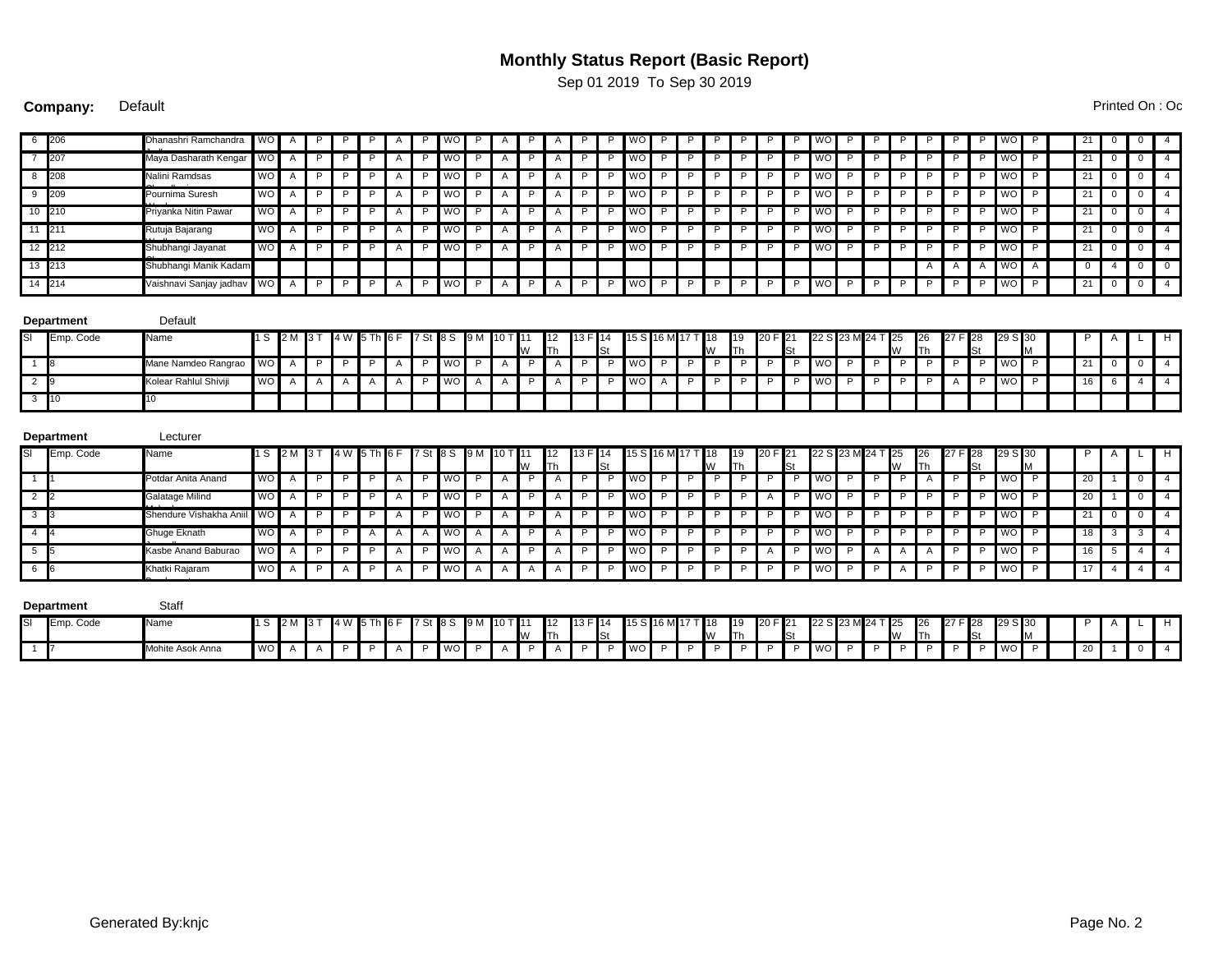## **Monthly Status Report (Basic Report)**

Sep 01 2019 To Sep 30 2019

**Company:** Default Printed On : Oct 24 2019 13:30 2019 13:30 2019 13:30 2019 13:30 2019 13:30 2019 13:30 2019 13:30 2019 13:30 2019 13:30 2019 13:30 2019 13:30 2019 13:30 2019 13:30 2019 13:30 2019 13:30 2019 13:30 2019 13

WO A P P A P WO P A A P P WO P P P P WO P P P P P P WO 21 0 0 4 WO A P P A P WO P A A P P WO P P P P WO P P P P P P WO 21 0 0 4 WO A P P A P WO P A A P P WO P P P P WO P P P P P P WO 21 0 0 4 WO A P P A P WO P A A P P WO P P P P WO P P P P P P WO 21 0 0 4 WO A P P A P WO P A A P P WO P P P P WO P P P P P P WO 21 0 0 4 WO A P P A P WO P A A P P WO P P P P WO P P P P P P WO 21 0 0 4 WO A P P A P WO P A A P P WO P P P P WO P P P P P P WO 21 0 0 4 A A A WO A 10 4 0 0 WO A P P A P WO P A A P P WO P P P P WO P P P P P P WO 21 0 0 4 1 S 2 M 3 T 4 W 5 Th 6 F 7 St 8 S 9 M 10 T 11 12 Th 13 F 14 St 15 S 16 M 17 T 18 19 20 F 21 W 19 Th 20 F 22 S 23 M 24 T 25 W 26 Th 27 F 28 St 29 S 30 P A L H WO A P P A P WO P A A P P WO P P P P WO P P P P P P WO 21 0 0 4 WO A A A A P WO A A A P P WO P P P P WO P P P P A P WO 16 6 4 4 1 S 2 M 3 T 4 W 6 F 7 St 8 S 9 M 10 T 12 Th 13 F 14 St 15 S 16 M 17 T 18 19 20 F 21 W 19 Th 20 F 22 S 23 M 24 T 25 W 26 Th 27 F 28 St 29 S 30 P A L H WO A P P P P A P P WO P A P P A P P P P WO P P P P P P P P WO P P P P A P P P WO P P 20 1 1 0 4 WO A P P P P A P P WO P A P P A P P P WO P P P P P A P P WO P P P P P P P P WO P P 20 1 1 0 4 WO A P P A P WO P A A P P WO P P P P WO P P P P P P WO 21 0 0 4 WO A P P A A WO A A A P P WO P P P P WO P P P P P P WO 18 3 3 4 WO A P P P P A P P WO A A P P A P P P P WO P P P P P A P P WO P P A A A P P P WO P P 16 5 4 4 4 WO A P P A A P A P P WO A A A A A A P P P P WO P P P P P P P P P P P A P P P P P WO P P A T 4 A 4 4 4 4 4 4 4 1 S 2 M 3 T 4 W 6 F 7 St 8 S 9 M 10 T 12 Th 13 F 14 St 15 S 16 M 17 T 18 W 19 Th 20 F 22 S 23 M 24 T 25 W 26 Th 27 F 28 St 29 S 30 **P A** 6 206 Dhanashri Ramchandra Maya Dasharath Kengar P P P P P 7 207 Maya Dasharath Kengar P P P P P 8 208 Nalini Ramdsas ende a Suresh Pournima Suresh P P P P P Priyanka Nitin Pawa P P P P P 10 210 Priyanka Nitin Pawar P P P P P 11 211 Rutuja Bajarang Wadhate 12 212 Shubhangi Jayanat P P P P P Chavan 13 213 Shubhangi Manik Kadam P | A | P | WO | P | A | P | A | P | P | WO | P Vaishnavi Sanjay jadhav P P P 14 214 P P P | WO | P | P | P | P | P | P | WO | P A **Department** Default Emp. Code Name W St 30 M 1 8 Mane Namdeo Rangrao P P P P P 2 9 Kolear Rahlul Shiviji A P A P P 3 10 10 **Department** Lecturer SI Emp. Code Name 11 S 2M 3T 4W 5 Th 6 F 7 St 8 S 9M 10 T 11 W St 30 M 1 1 Potdar Anita Anand P P P P P 2 2 Galatage Milind Shendure Vishakha Aniil P | A | P | WO | P | A | P | A | P | P | WO | P | P | P | P | A | P | WO | P | P | P | P | P | P | WO | P 3 3 Shendure Vishakha Aniil P P P P P 4 4 Ghuge Eknath Janardhan 5 5 Kasbe Anand Baburao P P P A A A WO A A P A P P WO P Khatki Rajaram Bandopant P A P WOAAAAAAP P WOP P NOPPPPPPPPWOP P WO P A A A P P WO P 6 6 P P **Department** Staff SI Emp. Code Name 11 S 2M 3T 4W 5 Th 6 F 7 St 8 S 9M 10 T 11 W 16 M St 30 M

1 7 Mohite Asok Anna P P P P P

WO A A P A P WO P A A P P WO P P P P WO P P P P P P WO 20 1 0 4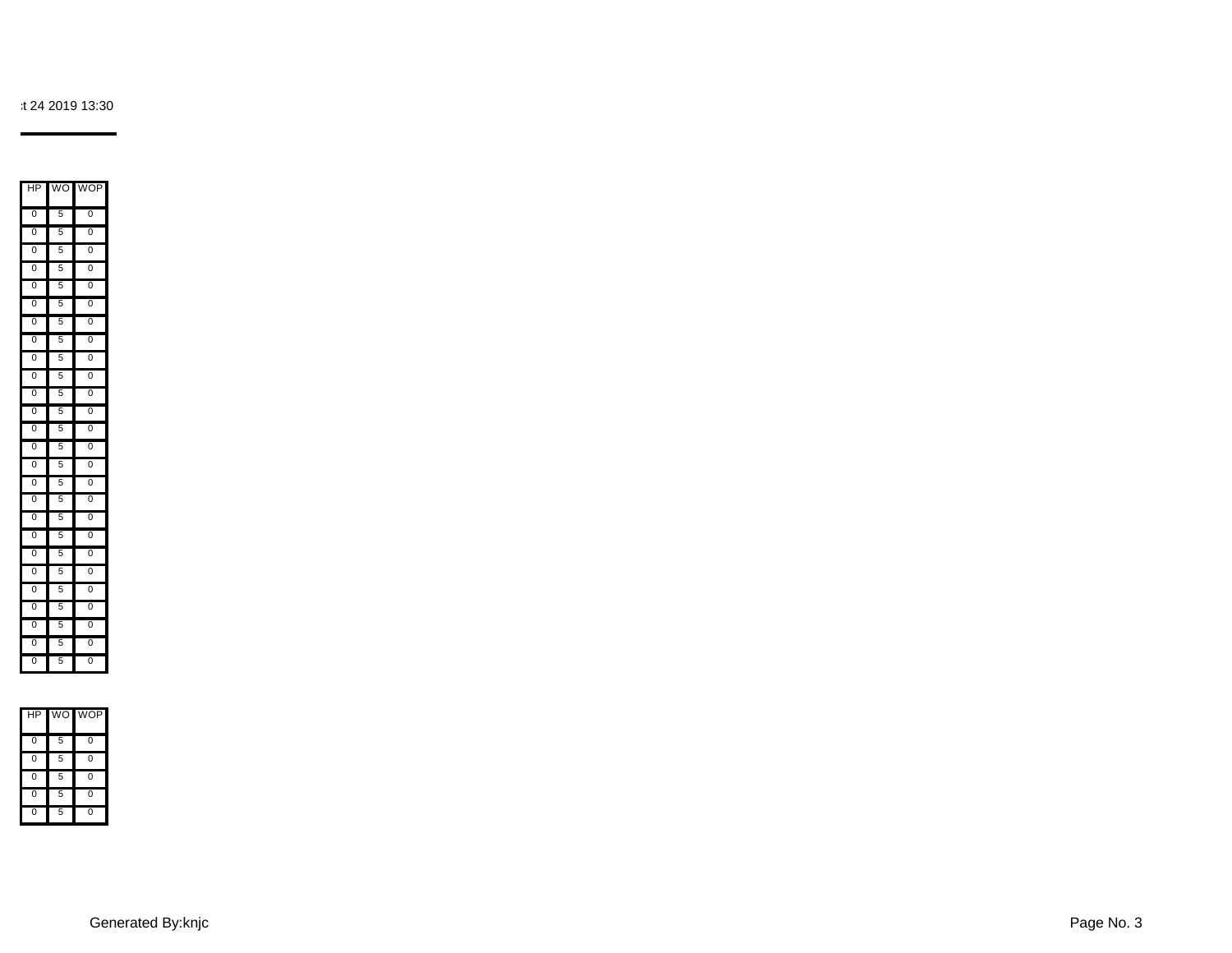

t 24 2019 13:30